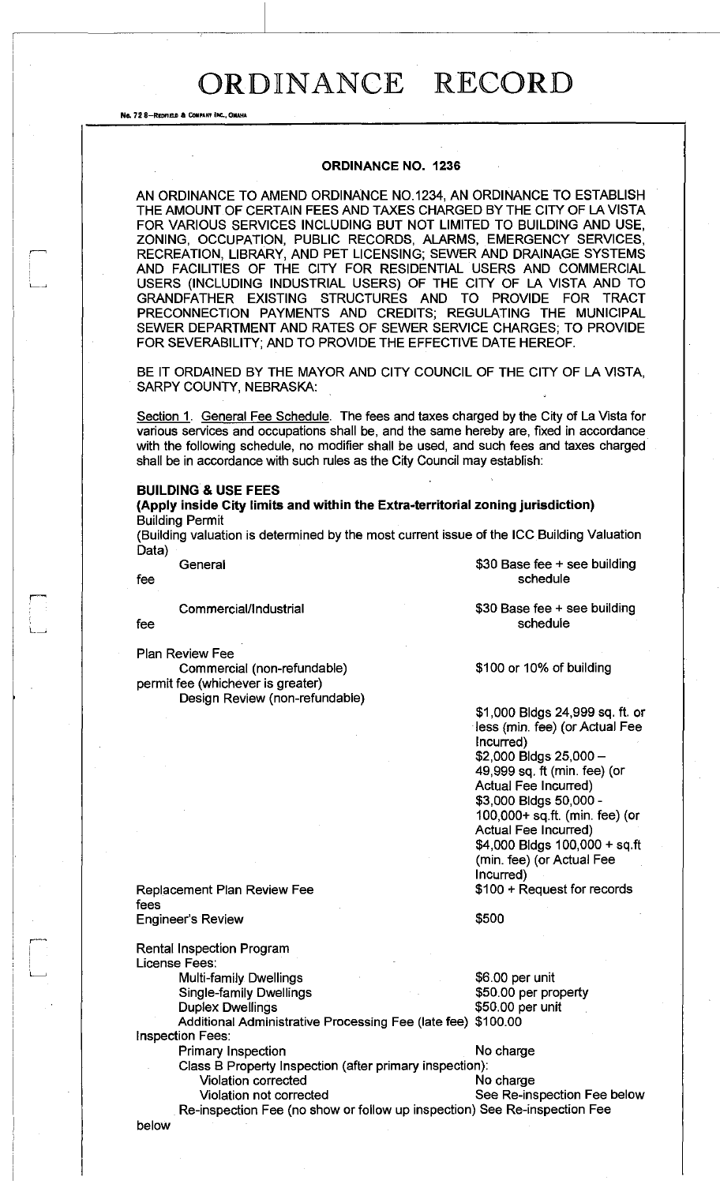#### **ORDINANCE NO. 1236**

AN ORDINANCE TO AMEND ORDINANCE N0.1234, AN ORDINANCE TO ESTABLISH THE AMOUNT OF CERTAIN FEES AND TAXES CHARGED BY THE CITY OF LA VISTA FOR VARIOUS SERVICES INCLUDING BUT NOT LIMITED TO BUILDING AND USE, ZONING, OCCUPATION, PUBLIC RECORDS, ALARMS, EMERGENCY SERVICES, RECREATION, LIBRARY, AND PET LICENSING; SEWER AND DRAINAGE SYSTEMS AND FACILITIES OF THE CITY FOR RESIDENTIAL USERS AND COMMERCIAL USERS (INCLUDING INDUSTRIAL USERS) OF THE CITY OF LA VISTA AND TO GRANDFATHER EXISTING STRUCTURES AND TO PROVIDE FOR TRACT PRECONNECTION PAYMENTS AND CREDITS; REGULATING THE MUNICIPAL SEWER DEPARTMENT AND RATES OF SEWER SERVICE CHARGES; TO PROVIDE FOR SEVERABILITY; AND TO PROVIDE THE EFFECTIVE DATE HEREOF.

BE IT ORDAINED BY THE MAYOR AND CITY COUNCIL OF THE CITY OF LA VISTA, SARPY COUNTY, NEBRASKA:

Section 1. General Fee Schedule. The fees and taxes charged by the City of La Vista for various services and occupations shall be, and the same hereby are, fixed in accordance with the following schedule, no modifier shall be used, and such fees and taxes charged shall be in accordance with such rules as the City Council may establish:

#### **BUILDING & USE FEES**

**(Apply inside City limits and within the Extra-territorial zoning jurisdiction)**  Building Permit

(Building valuation is determined by the most current issue of the ICC Building Valuation Data)

No. 72 8-REDFIELD & COM

Commercial/Industrial

fee

Plan Review Fee

Commercial (non-refundable) permit fee (whichever is greater) Design Review (non-refundable)

General \$30 Base fee + see building fee schedule schedule

> \$30 Base fee + see building schedule

\$100 or 10% of building

\$1,000 Bldgs 24,999 sq. ft. or less (min. fee) (or Actual Fee Incurred) \$2,000 Bldgs 25,000- 49,999 sq. ft (min. fee) (or Actual Fee Incurred) \$3,000 Bldgs 50,000 - 100,000+ sq.ft. (min. fee) (or Actual Fee Incurred) \$4,000 Bldgs 100,000 + sq.ft (min. fee) (or Actual Fee Incurred) \$100 + Request for records

Replacement Plan Review Fee fees Engineer's Review

\$500

Rental Inspection Program License Fees:

Multi-family Dwellings **\$6.00 per unit** Single-family Dwellings  $$50.00$  per property Duplex Dwellings **\$50.00 per unit** Additional Administrative Processing Fee (late fee) \$100.00

Primary Inspection No charge

Class B Property Inspection (after primary inspection): Violation corrected

Violation not corrected See Re-inspection Fee below Re-inspection Fee (no show or follow up inspection) See Re-inspection Fee

below

Inspection Fees: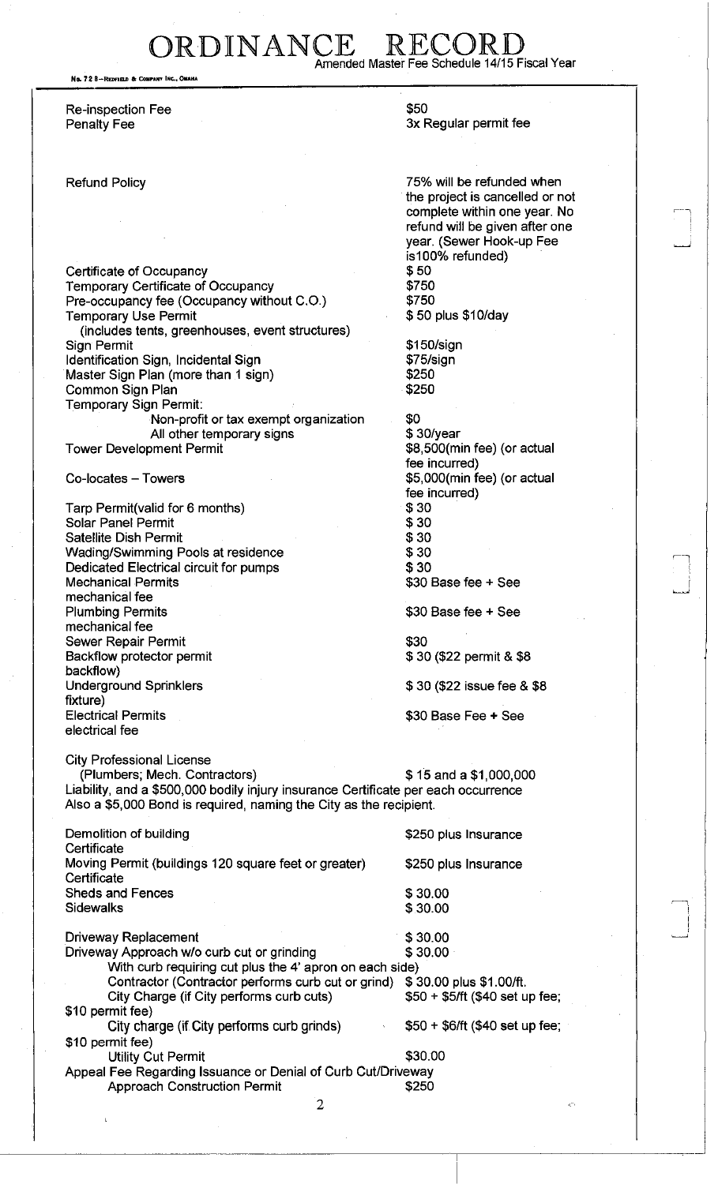## ORDINANCE Amended Master Fee Schedule 14/15 Fiscal Year

No. 72 8-REDFIELD & COMPANY INC.

Re-inspection Fee \$50

Certificate of Occupancy<br>
Temporary Certificate of Occupancy<br>
\$750 Temporary Certificate of Occupancy<br>Pre-occupancy fee (Occupancy without C.O.) \$750 Pre-occupancy fee (Occupancy without C.O.) Temporary Use Permit **1988 30 plus \$10/day** (includes tents, greenhouses, event structures) Sign Permit \$150/sign Identification Sign, Incidental Sign Master Sign Plan (more than 1 sign) \$250 Common Sign Plan **\$250** Temporary Sign Permit: Non-profit or tax exempt organization \$0 All other temporary signs \$ 30/year Tower Development Permit Co-locates – Towers **but a community of the set of the set of the set of the set of the set of the set of the set of the set of the set of the set of the set of the set of the set of the set of the set of the set of the se** Tarp Permit(valid for 6 months) \$30

Solar Panel Permit Satellite Dish Permit \$30 Wading/Swimming Pools at residence  $$30$ Dedicated Electrical circuit for pumps  $$30$ <br>Mechanical Permits  $$30$ mechanical fee Plumbing Permits **\$30 Base fee + See** mechanical fee Sewer Repair Permit<br>Backflow protector permit  $\begin{array}{cc} 30 & 30 \\ 30 & 30 \end{array}$ Backflow protector permit backflow) Underground Sprinklers  $$30$  (\$22 issue fee & \$8 fixture) Electrical Permits \$30 Base Fee + See electrical fee

City Professional License

c

(Plumbers; Mech. Contractors) \$ 15 and a \$1,000,000 Liability, and a \$500,000 bodily injury insurance Certificate per each occurrence Also a \$5,000 Bond is required, naming the City as the recipient.

| Demolition of building<br>Certificate                               | \$250 plus Insurance             |  |
|---------------------------------------------------------------------|----------------------------------|--|
| Moving Permit (buildings 120 square feet or greater)<br>Certificate | \$250 plus Insurance             |  |
| <b>Sheds and Fences</b>                                             | \$30.00                          |  |
| Sidewalks                                                           | \$30.00                          |  |
|                                                                     |                                  |  |
| <b>Driveway Replacement</b>                                         | \$30.00                          |  |
| Driveway Approach w/o curb cut or grinding                          | \$30.00                          |  |
| With curb requiring cut plus the 4' apron on each side)             |                                  |  |
| Contractor (Contractor performs curb cut or grind)                  | \$30.00 plus \$1.00/ft.          |  |
| City Charge (if City performs curb cuts)                            | $$50 + $5$ /ft (\$40 set up fee; |  |
| \$10 permit fee)                                                    |                                  |  |
| City charge (if City performs curb grinds)                          | $$50 + $6/ft ($40 set up fee;$   |  |
| \$10 permit fee)                                                    |                                  |  |
| <b>Utility Cut Permit</b>                                           | \$30.00                          |  |
| Appeal Fee Regarding Issuance or Denial of Curb Cut/Driveway        |                                  |  |
| <b>Approach Construction Permit</b>                                 | \$250                            |  |

Penalty Fee 3x Regular permit fee

Refund Policy 75% will be refunded when the project is cancelled or not complete within one year. No refund will be given after one year. (Sewer Hook-up Fee is100% refunded)

> fee incurred) fee incurred)  $$30$  Base fee + See

*•* —1

i

<"•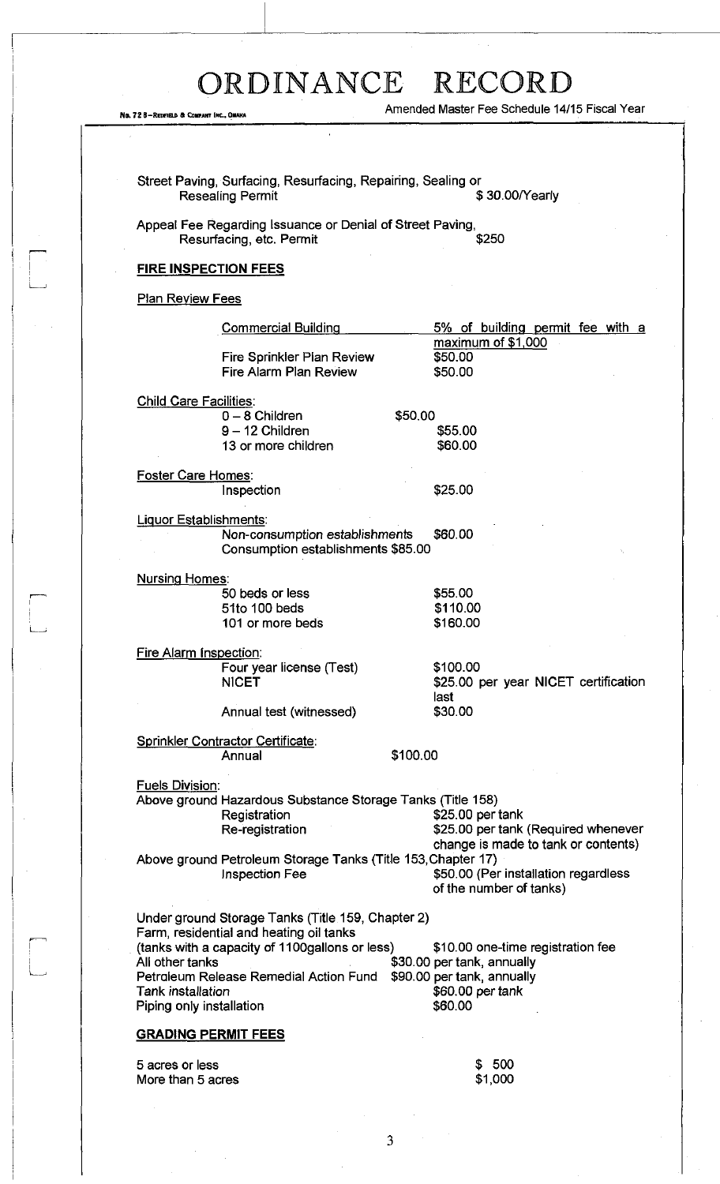No. 72 8-REDFIELD & COMPANY INC., QUARA

 $\Box$ 

 $\begin{bmatrix} 1 & 0 \\ 0 & 1 \end{bmatrix}$ 

Amended Master Fee Schedule 14/15 Fiscal Year

|                               | <b>Resealing Permit</b>                                                               | \$30.00/Yearly                                                  |
|-------------------------------|---------------------------------------------------------------------------------------|-----------------------------------------------------------------|
|                               | Appeal Fee Regarding Issuance or Denial of Street Paving,<br>Resurfacing, etc. Permit | \$250                                                           |
|                               | <b>FIRE INSPECTION FEES</b>                                                           |                                                                 |
| <b>Plan Review Fees</b>       |                                                                                       |                                                                 |
|                               | <b>Commercial Building</b>                                                            | 5% of building permit fee with a                                |
|                               | Fire Sprinkler Plan Review<br><b>Fire Alarm Plan Review</b>                           | maximum of \$1,000<br>\$50.00<br>\$50.00                        |
| <b>Child Care Facilities:</b> |                                                                                       |                                                                 |
|                               | $0 - 8$ Children                                                                      | \$50,00                                                         |
|                               | $9 - 12$ Children<br>13 or more children                                              | \$55.00<br>\$60.00                                              |
|                               |                                                                                       |                                                                 |
| <b>Foster Care Homes:</b>     | Inspection                                                                            | \$25.00                                                         |
|                               | <b>Liquor Establishments:</b>                                                         |                                                                 |
|                               | Non-consumption establishments<br>Consumption establishments \$85.00                  | \$60.00                                                         |
| <b>Nursing Homes:</b>         |                                                                                       |                                                                 |
|                               | 50 beds or less                                                                       | \$55.00                                                         |
|                               | 51to 100 beds<br>101 or more beds                                                     | \$110.00<br>\$160.00                                            |
|                               | Fire Alarm Inspection:                                                                |                                                                 |
|                               | Four year license (Test)                                                              | \$100.00                                                        |
|                               | <b>NICET</b>                                                                          | \$25.00 per year NICET certification                            |
|                               | Annual test (witnessed)                                                               | last<br>\$30.00                                                 |
|                               |                                                                                       |                                                                 |
|                               | Sprinkler Contractor Certificate:<br>Annual                                           | \$100.00                                                        |
|                               |                                                                                       |                                                                 |
| <b>Fuels Division:</b>        | Above ground Hazardous Substance Storage Tanks (Title 158)                            |                                                                 |
|                               | Registration                                                                          | \$25.00 per tank                                                |
|                               | Re-registration                                                                       | \$25.00 per tank (Required whenever                             |
|                               |                                                                                       | change is made to tank or contents)                             |
|                               | Above ground Petroleum Storage Tanks (Title 153, Chapter 17)<br>Inspection Fee        | \$50.00 (Per installation regardless<br>of the number of tanks) |
|                               | Under ground Storage Tanks (Title 159, Chapter 2)                                     |                                                                 |
|                               | Farm, residential and heating oil tanks                                               |                                                                 |
| All other tanks               | (tanks with a capacity of 1100gallons or less)                                        | \$10.00 one-time registration fee<br>\$30.00 per tank, annually |
|                               | Petraleum Release Remedial Action Fund                                                | \$90.00 per tank, annually                                      |
| Tank installation             |                                                                                       | \$60.00 per tank                                                |
|                               | Piping only installation                                                              | \$60.00                                                         |
|                               | <u>GRADING PERMIT FEES</u>                                                            |                                                                 |
|                               |                                                                                       |                                                                 |
| 5 acres or less               |                                                                                       | \$500                                                           |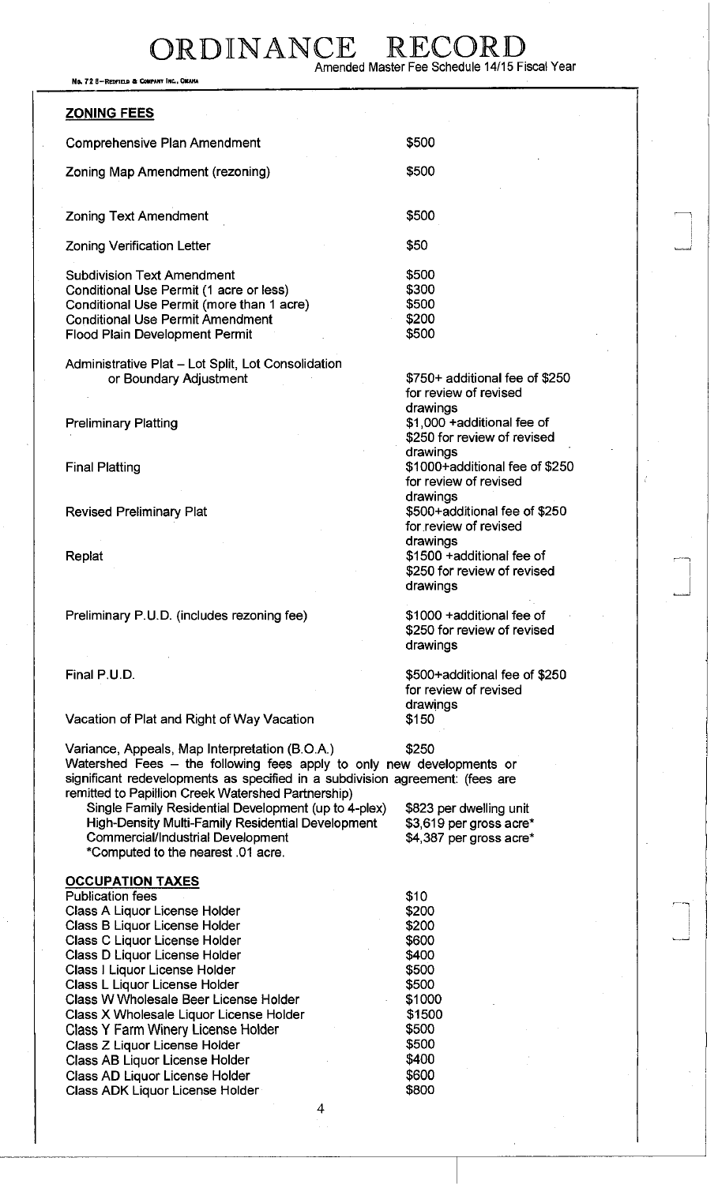No. 72 8-REDFIELD & COMPANY INC., OMAHA

**ZONING FEES**  Comprehensive Plan Amendment **\$500** Zoning Map Amendment (rezoning)  $$500$ **Zoning Text Amendment** \$500 zoning Text Americinent<br>Zoning Verification Letter \$50 January 19900 Marshall Street Street Street Street Street Street Street Street<br>January 19900 Marshall Street Street Street Street Street Street Street Street Street St Subdivision Text Amendment Conditional Use Permit (1 acre or less) Conditional Use Permit (more than 1 acre) Conditional Use Permit Amendment Flood Plain Development Permit \$500 \$300 \$500 \$200 \$500 Administrative Plat - Lot Split, Lot Consolidation or Boundary Adjustment Preliminary Platting Final Platting Revised Preliminary Plat Replat drawings drawings drawings drawings drawings Preliminary P.U.D. (includes rezoning fee) \$1000 +additional fee of drawings Final P.U.D. Vacation of Plat and Right of Way Vacation drawings \$150 Variance, Appeals, Map Interpretation (B.O.A.) \$250 Watershed Fees - the following fees apply to only new developments or significant redevelopments as specified in a subdivision agreement: (fees are remitted to Papillion Creek Watershed Partnership) Single Family Residential Development (up to 4-plex) \$823 per dwelling unit

High-Density Multi-Family Residential Development \$3,619 per gross acre\* Commercial/Industrial Development \$4,387 per gross acre\* \*Computed to the nearest .01 acre.

## **OCCUPATION TAXES**

| <b>Publication fees</b>                   | \$10   |
|-------------------------------------------|--------|
| Class A Liquor License Holder             | \$200  |
| Class B Liquor License Holder             | \$200  |
| Class C Liquor License Holder             | \$600  |
| Class D Liquor License Holder             | \$400  |
| Class I Liquor License Holder             | \$500  |
| <b>Class L Liquor License Holder</b>      | \$500  |
| Class W Wholesale Beer License Holder     | \$1000 |
| Class X Wholesale Liquor License Holder   | \$1500 |
| <b>Class Y Farm Winery License Holder</b> | \$500  |
| Class Z Liquor License Holder             | \$500  |
| Class AB Liquor License Holder            | \$400  |
| Class AD Liquor License Holder            | \$600  |
| Class ADK Liquor License Holder           | \$800  |
|                                           |        |

4

\$750+ additional fee of \$250 for review of revised \$1,000 +additional fee of \$250 for review of revised \$1000+additional fee of \$250 for review of revised \$500+additional fee of \$250 for review of revised \$1500 +additional fee of \$250 for review of revised

i

. . . <u>. .</u> J

.<br>ר

\$250 for review of revised

\$500+additional fee of \$250 for review of revised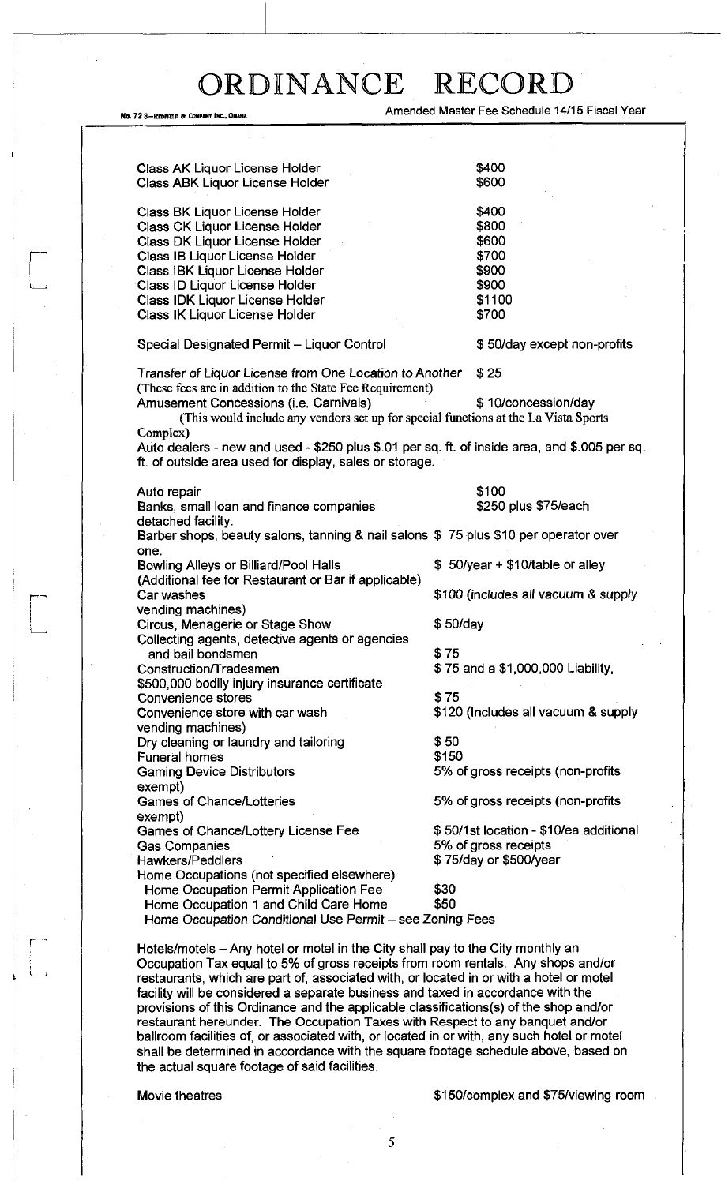No. 72 8-REDFIELD & COMPANY INC., OMAHA AMERICAL AMERICAL AMERICAL AMERICAL PROTECTION OF THE SCHEDULE 14/15 Fiscal Year

| Class AK Liquor License Holder                                                                                                                           |          | \$400                                  |  |
|----------------------------------------------------------------------------------------------------------------------------------------------------------|----------|----------------------------------------|--|
| Class ABK Liquor License Holder                                                                                                                          |          | \$600                                  |  |
|                                                                                                                                                          |          |                                        |  |
| Class BK Liquor License Holder                                                                                                                           |          | \$400                                  |  |
| Class CK Liquor License Holder                                                                                                                           |          | \$800                                  |  |
| Class DK Liquor License Holder                                                                                                                           |          | \$600                                  |  |
| Class IB Liquor License Holder                                                                                                                           |          | \$700                                  |  |
| Class IBK Liquor License Holder                                                                                                                          |          | \$900                                  |  |
| Class ID Liquor License Holder                                                                                                                           |          | \$900                                  |  |
| Class IDK Liquor License Holder                                                                                                                          |          | \$1100                                 |  |
| Class IK Liquor License Holder                                                                                                                           |          | \$700                                  |  |
| Special Designated Permit - Liquor Control                                                                                                               |          | \$50/day except non-profits            |  |
| Transfer of Liquor License from One Location to Another                                                                                                  |          | \$25                                   |  |
| (These fees are in addition to the State Fee Requirement)                                                                                                |          |                                        |  |
| Amusement Concessions (i.e. Carnivals)                                                                                                                   |          | \$10/concession/day                    |  |
| (This would include any vendors set up for special functions at the La Vista Sports                                                                      |          |                                        |  |
| Complex)                                                                                                                                                 |          |                                        |  |
| Auto dealers - new and used - \$250 plus \$.01 per sq. ft. of inside area, and \$.005 per sq.<br>ft. of outside area used for display, sales or storage. |          |                                        |  |
|                                                                                                                                                          |          |                                        |  |
| Auto repair                                                                                                                                              |          | \$100                                  |  |
| Banks, small loan and finance companies                                                                                                                  |          | \$250 plus \$75/each                   |  |
| detached facility.                                                                                                                                       |          |                                        |  |
| Barber shops, beauty salons, tanning & nail salons \$75 plus \$10 per operator over                                                                      |          |                                        |  |
| one.                                                                                                                                                     |          |                                        |  |
| Bowling Alleys or Billiard/Pool Halls                                                                                                                    |          | \$50/year + \$10/table or alley        |  |
| (Additional fee for Restaurant or Bar if applicable)                                                                                                     |          |                                        |  |
| Car washes                                                                                                                                               |          | \$100 (includes all vacuum & supply    |  |
| vending machines)                                                                                                                                        |          |                                        |  |
| Circus, Menagerie or Stage Show                                                                                                                          | \$50/day |                                        |  |
| Collecting agents, detective agents or agencies                                                                                                          |          |                                        |  |
| and bail bondsmen                                                                                                                                        | \$75     |                                        |  |
| Construction/Tradesmen                                                                                                                                   |          | \$75 and a \$1,000,000 Liability,      |  |
| \$500,000 bodily injury insurance certificate                                                                                                            |          |                                        |  |
| Convenience stores                                                                                                                                       | \$75     |                                        |  |
| Convenience store with car wash                                                                                                                          |          | \$120 (Includes all vacuum & supply    |  |
| vending machines)                                                                                                                                        |          |                                        |  |
| Dry cleaning or laundry and tailoring                                                                                                                    | \$50     |                                        |  |
| Funeral homes                                                                                                                                            | \$150    |                                        |  |
| <b>Gaming Device Distributors</b>                                                                                                                        |          | 5% of gross receipts (non-profits      |  |
| exempt)                                                                                                                                                  |          |                                        |  |
| <b>Games of Chance/Lotteries</b>                                                                                                                         |          | 5% of gross receipts (non-profits      |  |
| exempt)                                                                                                                                                  |          |                                        |  |
| Games of Chance/Lottery License Fee                                                                                                                      |          | \$50/1st location - \$10/ea additional |  |
| <b>Gas Companies</b>                                                                                                                                     |          | 5% of gross receipts                   |  |
| <b>Hawkers/Peddlers</b>                                                                                                                                  |          | \$75/day or \$500/year                 |  |
| Home Occupations (not specified elsewhere)                                                                                                               |          |                                        |  |
| Home Occupation Permit Application Fee                                                                                                                   | \$30     |                                        |  |
| Home Occupation 1 and Child Care Home                                                                                                                    | \$50     |                                        |  |
| Home Occupation Conditional Use Permit - see Zoning Fees                                                                                                 |          |                                        |  |

Hotels/motels - Any hotel or motel in the City shall pay to the City monthly an Occupation Tax equal to 5% of gross receipts from room rentals. Any shops and/or restaurants, which are part of, associated with, or located in or with a hotel or motel facility will be considered a separate business and taxed in accordance with the provisions of this Ordinance and the applicable classifications(s) of the shop and/or restaurant hereunder. The Occupation Taxes with Respect to any banquet and/or ballroom facilities of, or associated with, or located in or with, any such hotel or motel shall be determined in accordance with the square footage schedule above, based on the actual square footage of said facilities.

Movie theatres **\$150/complex and \$75/viewing room**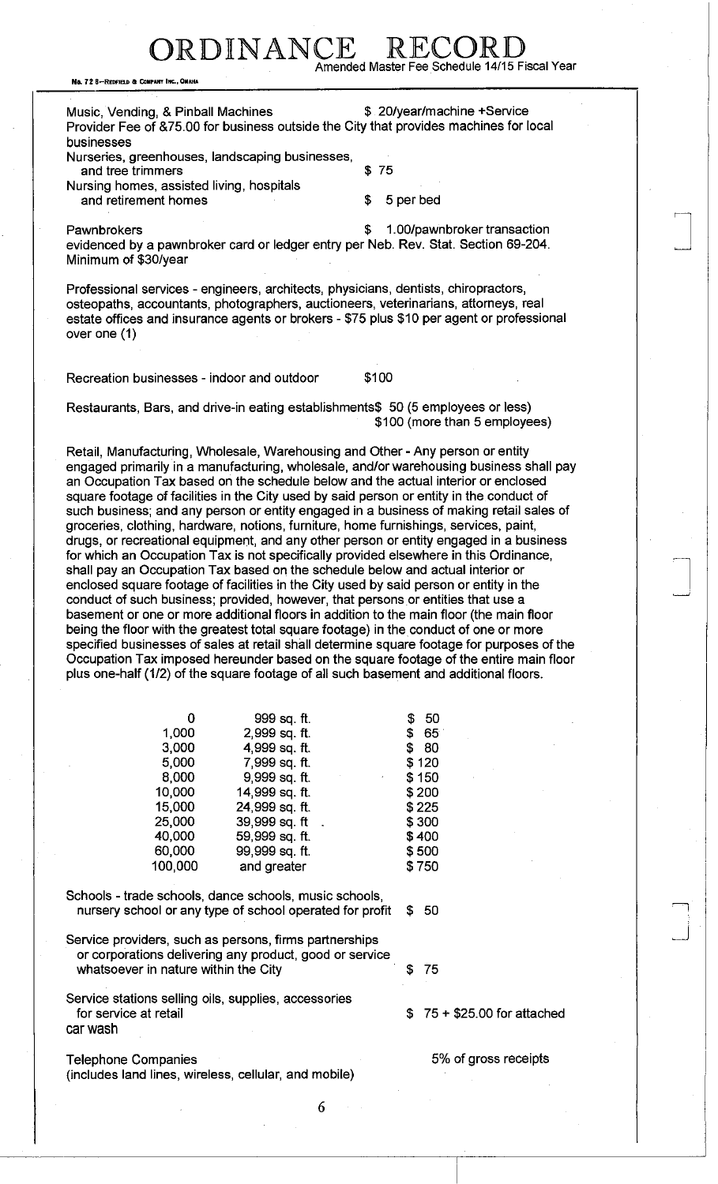## RDINANCE Amended Master Fee Schedule 14/15 Fiscal Year

No. 72 B-REDFIELD & COMPANY INC., OMAHA

Music, Vending, & Pinball Machines  $\qquad \qquad$  \$ 20/year/machine +Service Provider Fee of &75.00 for business outside the City that provides machines for local businesses

Nurseries, greenhouses, landscaping businesses, and tree trimmers \$75

Nursing homes, assisted living, hospitals and retirement homes **\$** 5 per bed

Pawnbrokers **but a 1.00/pawnbroker transaction \$** 1.00/pawnbroker transaction evidenced by a pawnbroker card or ledger entry per Neb. Rev. Stat. Section 69-204. Minimum of \$30/year

Professional services - engineers, architects, physicians, dentists, chiropractors, osteopaths, accountants, photographers, auctioneers, veterinarians, attorneys, real estate offices and insurance agents or brokers - \$75 plus \$10 per agent or professional over one (1)

Recreation businesses - indoor and outdoor \$100

Restaurants, Bars, and drive-in eating establishments\$ 50 (5 employees or less) \$100 (more than 5 employees)

Retail, Manufacturing, Wholesale, Warehousing and Other-Any person or entity engaged primarily in a manufacturing, wholesale, and/or warehousing business shall pay an Occupation Tax based on the schedule below and the actual interior or enclosed square footage of facilities in the City used by said person or entity in the conduct of such business; and any person or entity engaged in a business of making retail sales of groceries, clothing, hardware, notions, furniture, home furnishings, services, paint, drugs, or recreational equipment, and any other person or entity engaged in a business for which an Occupation Tax is not specifically provided elsewhere in this Ordinance, shall pay an Occupation Tax based on the schedule below and actual interior or enclosed square footage of facilities in the City used by said person or entity in the conduct of such business; provided, however, that persons or entities that use a basement or one or more additional floors in addition to the main floor (the main floor being the floor with the greatest total square footage) in the conduct of one or more specified businesses of sales at retail shall determine square footage for purposes of the Occupation Tax imposed hereunder based on the square footage of the entire main floor plus one-half (1/2) of the square footage of all such basement and additional floors.

| 0       | 999 sq. ft.    | 50<br>\$  |
|---------|----------------|-----------|
| 1,000   | 2,999 sq. ft.  | \$65      |
| 3,000   | 4,999 sq. ft.  | -80<br>\$ |
| 5.000   | 7,999 sq. ft.  | \$120     |
| 8,000   | 9,999 sq. ft.  | \$150     |
| 10,000  | 14,999 sq. ft. | \$200     |
| 15,000  | 24,999 sq. ft. | \$225     |
| 25,000  | 39,999 sq. ft  | \$300     |
| 40,000  | 59,999 sq. ft. | \$400     |
| 60,000  | 99,999 sq. ft. | \$500     |
| 100,000 | and greater    | \$750     |

Schools - trade schools, dance schools, music schools, nursery school or any type of school operated for profit \$ 50

Service providers, such as persons, firms partnerships or corporations delivering any product, good or service whatsoever in nature within the City **\$75** 

Service stations selling oils, supplies, accessories for service at retail  $$ 75 + $25.00$  for attached car wash

Telephone Companies 6 and 10 and 10 and 10 and 10 and 10 and 10 and 10 and 10 and 10 and 10 and 10 and 10 and 10 and 10 and 10 and 10 and 10 and 10 and 10 and 10 and 10 and 10 and 10 and 10 and 10 and 10 and 10 and 10 and (includes land lines, wireless, cellular, and mobile)

6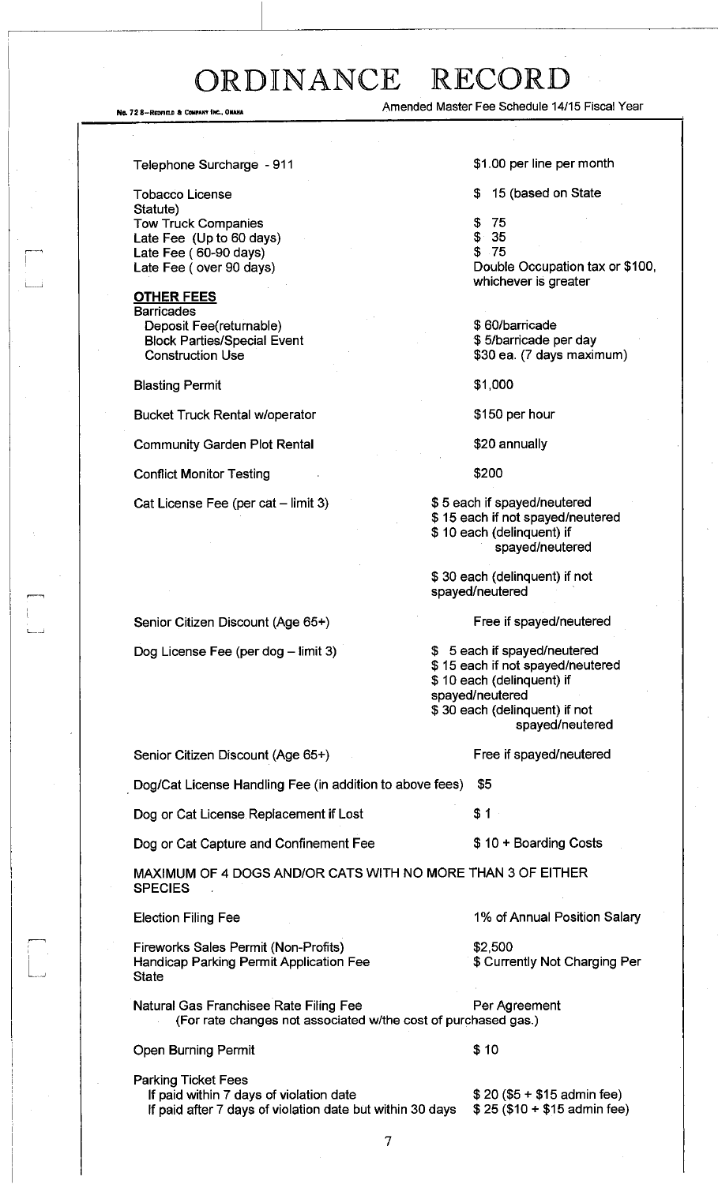No. 72 8-REDFIELD & COMPANY INC., OMAHA Amended Master Fee Schedule 14/15 Fiscal Year

Telephone Surcharge - 911

Tobacco License Statute) Tow Truck Companies Late Fee (Up to 60 days) Late Fee ( 60-90 days) Late Fee (over 90 days)

**OTHER FEES Barricades** Deposit Fee(returnable) Block Parties/Special Event Construction Use

Blasting Permit

Bucket Truck Rental w/operator

Community Garden Plot Rental

Conflict Monitor Testing

Cat License Fee (per cat - limit 3)

\$1.00 per line per month

\$ 15 (based on State

\$ 75

\$ 35 \$ 75

Double Occupation tax or \$100, whichever is greater

\$ 60/barricade \$ 5/barricade per day \$30 ea. (7 days maximum)

\$1,000

\$150 per hour

\$20 annually

\$200

\$ 5 each if spayed/neutered \$ 15 each if not spayed/neutered \$10 each (delinquent) if spayed/neutered

\$ 30 each (delinquent) if not spayed/neutered

## Free if spayed/neutered

Free if spayed/neutered

\$ 5 each if spayed/neutered \$ 15 each if not spayed/neutered \$ 10 each (delinquent) if spayed/neutered \$ 30 each (delinquent) if not spayed/neutered

Senior Citizen Discount (Age 65+)

Dog/Cat License Handling Fee (in addition to above fees) \$5

Dog or Cat License Replacement if Lost  $$1$ 

Dog or Cat Capture and Confinement Fee  $$10 + Boarding Costs$ 

MAXIMUM OF 4 DOGS AND/OR CATS WITH NO MORE THAN 3 OF EITHER **SPECIES** 

### Election Filing Fee

Fireworks Sales Permit (Non-Profits) Handicap Parking Permit Application Fee **State** 

Natural Gas Franchisee Rate Filing Fee **Per Agreement** (For rate changes not associated w/the cost of purchased gas.)

Open Burning Permit \$ 10

\$2,500

Parking Ticket Fees

If paid after 7 days of violation date but within 30 days  $$25 ($10 + $15$)$  admin fee)

If paid within 7 days of violation date  $$ 20 ($5 + $15$)$  admin fee)

1% of Annual Position Salary

\$ Currently Not Charging Per

Senior Citizen Discount (Age 65+)

Dog License Fee (per dog  $-$  limit 3)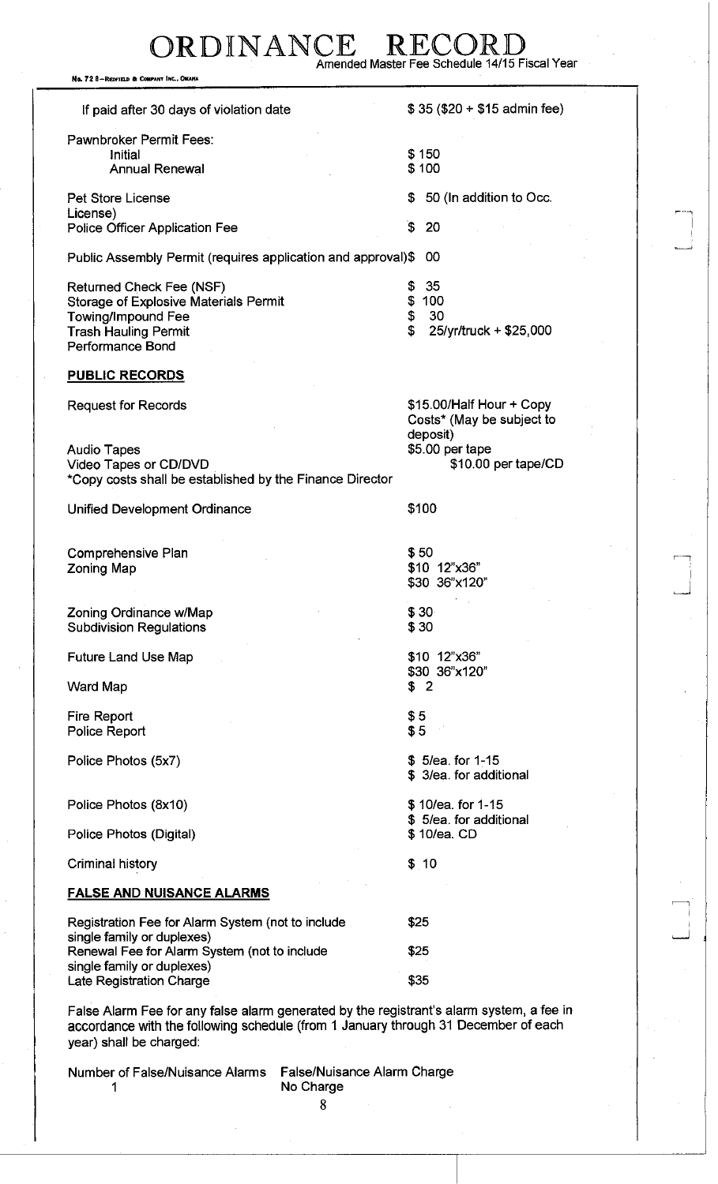## RDINANCE Amended Master Fee Schedule 14/15 Fiscal Year

No. 72 8-REDFIELD & COMPANY INC., O

If paid after 30 days of violation date  $$ 35 ($20 + $15$)$  admin fee) Pawnbroker Permit Fees: Initial Annual Renewal \$ 150 \$ 100 Pet Store License License) Police Officer Application Fee \$ 50 (In addition to Occ.  $\sim$  20 in the set of  $\sim$  1.1 in the set of  $\sim$  1.1 in the set of  $\sim$  1.1 in the set of  $\sim$  1.1 in the set of  $\sim$  1.1 in the set of  $\sim$  1.1 in the set of  $\sim$  1.1 in the set of  $\sim$  1.1 in the set of  $\sim$  1.1 in the Public Assembly Permit (requires application and approval)\$ 00 Returned Check Fee (NSF) Storage of Explosive Materials Permit Towing/Impound Fee Trash Hauling Permit Performance Bond \$ 35 \$ 100 \$ 30 \$ 25/yr/truck + \$25,000 **PUBLIC RECORDS**  Request for Records **but a set of the Copy** \$15.00/Half Hour + Copy Costs\* (May be subject to deposit) Audio Tapes \$5.00 per tape Video Tapes or CD/DVD \*Copy costs shall be established by the Finance Director Unified Development Ordinance **\$100** Comprehensive Plan Zoning Map \$50 \$10 12"x36" \$30 36"x120" Zoning Ordinance w/Map Subdivision Regulations \$30 \$30 Future Land Use Map Ward Map \$10 12"x36" \$30 36"x120" \$ 2 Fire Report Police Report \$5 \$5 Police Photos (5x7) \$ 5/ea. for 1-15 \$ 3/ea. for additional Police Photos (8x10) Police Photos (Digital) \$ 10/ea. for 1-15 \$ 5/ea. for additional \$ 10/ea. CD Criminal history **\$** 10 **FALSE AND NUISANCE ALARMS**  Registration Fee for Alarm System (not to include single family or duplexes) Renewal Fee for Alarm System (not to include single family or duplexes) Late Registration Charge \$25 \$25 \$35

r 11

i ه - استنا

False Alarm Fee for any false alarm generated by the registrant's alarm system, a fee in accordance with the following schedule (from 1 January through 31 December of each year) shall be charged:

Number of False/Nuisance Alarms False/Nuisance Alarm Charge

1 No Charge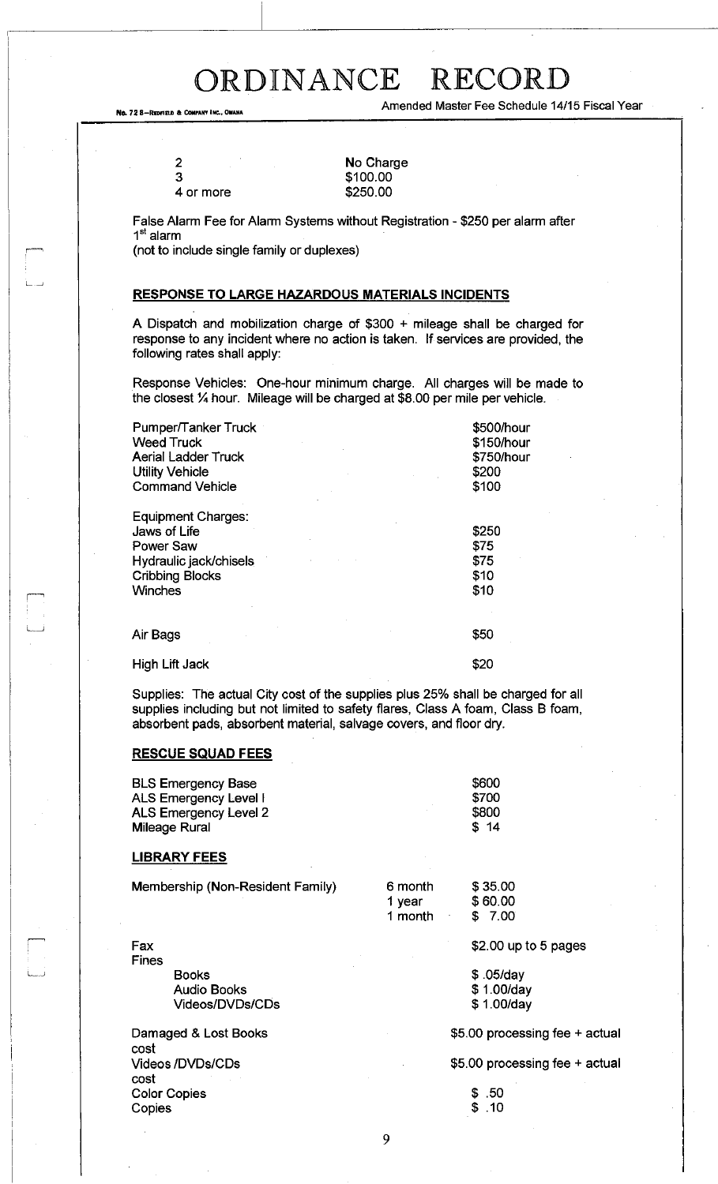No. 72 8-Redfield & CONFANY INC., OBANA

**2**  3

ا ب

Amended Master Fee Schedule 14/15 Fiscal Year

| ∠ |           |  |
|---|-----------|--|
| 3 |           |  |
|   | 4 or more |  |

No Charge \$100.00 \$250.00

False Alarm Fee for Alarm Systems without Registration - \$250 per alarm after 1<sup>st</sup> alarm

(not to include single family or duplexes)

## **RESPONSE TO LARGE HAZARDOUS MATERIALS INCIDENTS**

A Dispatch and mobilization charge of \$300 + mileage shall be charged for response to any incident where no action is taken. If services are provided, the following rates shall apply:

Response Vehicles: One-hour minimum charge. All charges will be made to the closest <sup>1</sup>A hour. Mileage will be charged at \$8.00 per mile per vehicle.

| Pumper/Tanker Truck<br><b>Weed Truck</b><br><b>Aerial Ladder Truck</b><br><b>Utility Vehicle</b><br><b>Command Vehicle</b>   | \$500/hour<br>\$150/hour<br>\$750/hour<br>\$200<br>\$100 |
|------------------------------------------------------------------------------------------------------------------------------|----------------------------------------------------------|
| <b>Equipment Charges:</b><br>Jaws of Life<br>Power Saw<br>Hydraulic jack/chisels<br><b>Cribbing Blocks</b><br><b>Winches</b> | \$250<br>\$75<br>\$75<br>\$10<br>\$10                    |
| Air Bags                                                                                                                     | \$50                                                     |
| <b>High Lift Jack</b>                                                                                                        | \$20                                                     |

Supplies: The actual City cost of the supplies plus 25% shall be charged for all supplies including but not limited to safety flares, Class A foam, Class B foam, absorbent pads, absorbent material, salvage covers, and floor dry.

### **RESCUE SQUAD FEES**

| <b>BLS Emergency Base</b> | \$600 |
|---------------------------|-------|
| ALS Emergency Level I     | \$700 |
| ALS Emergency Level 2     | \$800 |
| Mileage Rural             | \$14  |

### **LIBRARY FEES**

Fax

Membership (Non-Resident Family) 6 month \$ 35.00

1 year \$ 60.00 1 month \$ 7.00

Fines i *i* Books Audio Books Videos/DVDs/CDs

Damaged & Lost Books cost Videos/DVDs/CDs cost Color Copies Copies

\$2.00 up to 5 pages

\$ .05/day \$ 1.00/day \$ 1.00/day

\$5.00 processing fee + actual

\$5.00 processing fee + actual

\$ .50

\$ .10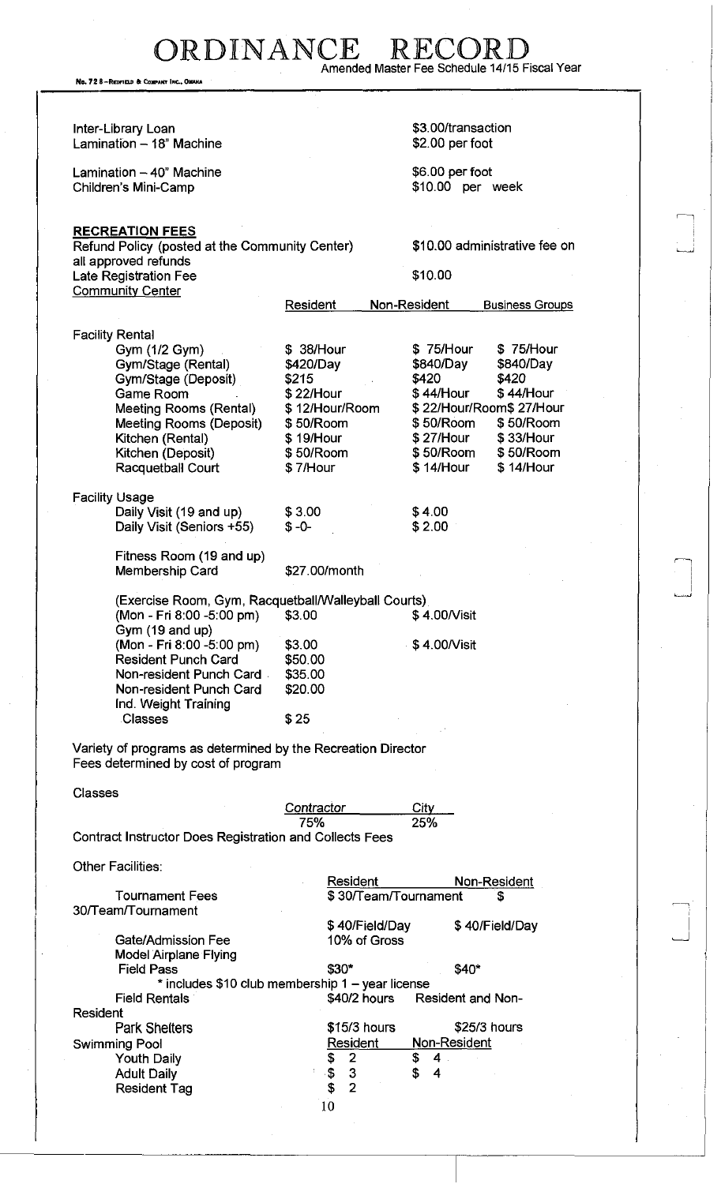RDINANCE RECO Amended Master Fee Schedule 14/15 Fiscal Year

No. 72 8-REDFIELD & COMPANY INC., OMAH

Inter-Library Loan Lamination  $-18$ " Machine Lamination  $-40$ " Machine Children's Mini-Camp \$3.00/transaction \$2.00 per foot \$6.00 per foot \$10.00 per week **RECREATION FEES**  Refund Policy (posted at the Community Center) all approved refunds Late Registration Fee **Community Center** Resident \$10.00 administrative fee on \$10.00 Non-Resident Business Groups Facility Rental Gym (1/2 Gym)  $$ 38/Hour$  \$ 75/Hour \$ 75/Hour Gym/Stage (Rental)  $$420/Day$  \$840/Day \$840/Day Gym/Stage (Deposit) \$215 \$420 \$420 Game Room  $$ 22/Hour$  \$ 44/Hour \$ 44/Hour \$ 44/Hour<br>Meeting Rooms (Rental) \$ 12/Hour/Room \$ 22/Hour/Room\$ 27/Hour Meeting Rooms (Rental) Meeting Rooms (Deposit) \$50/Room \$50/Room \$50/Room Kitchen (Rental)  $$ 19/$ Hour  $$ 27/$ Hour  $$ 33/$ Hour<br>Kitchen (Deposit)  $$ 50/$ Room  $$ 50/$ Room  $$ 50/$ Roon Kitchen (Deposit)  $$50/R$ oom  $$50/R$ oom \$ 50/Room Racquetball Court  $$7/H$ our  $$14/H$ our \$ 14/Hour Racquetball Court Facility Usage Daily Visit (19 and up) Daily Visit (Seniors +55) Fitness Room (19 and up) Membership Card \$3.00 \$-0- \$27.00/month \$4.00 \$2.00 (Exercise Room, Gym, Racquetball/Walleyball Courts) (Mon - Fri 8:00 -5:00 pm) \$3.00 Gym (19 and up) (Mon - Fri 8:00 -5:00 pm) \$3.00 Resident Punch Card \$50.00 Non-resident Punch Card \$35.00 Non-resident Punch Card \$20.00 Ind. Weight Training Classes \$25 Variety of programs as determined by the Recreation Director Fees determined by cost of program \$ 4.00/Visit \$ 4.00/Visit Classes Contractor City 75% 25% Contract Instructor Does Registration and Collects Fees **Other Facilities:** Tournament Fees 30/Team/Tournament Resident Non-Resident \$ 30/Team/Tournament **\$**  \$ 40/Field/Day 10% of Gross \$ 40/Field/Day Gate/Admission Fee Model Airplane Flying Field Pass \$30\* \$40\* \* includes \$10 club membership 1 - year license Field Rentals **1988 \$40/2 hours** Resident and Non-Resident Park Shelters  $$15/3$  hours  $$25/3$  hours Swimming Pool **Resident Non-Resident** Non-Resident Youth Daily **\$** 2 \$ 4 Adult Daily \$ 3 \$ 4 Resident Tag \$ 2 10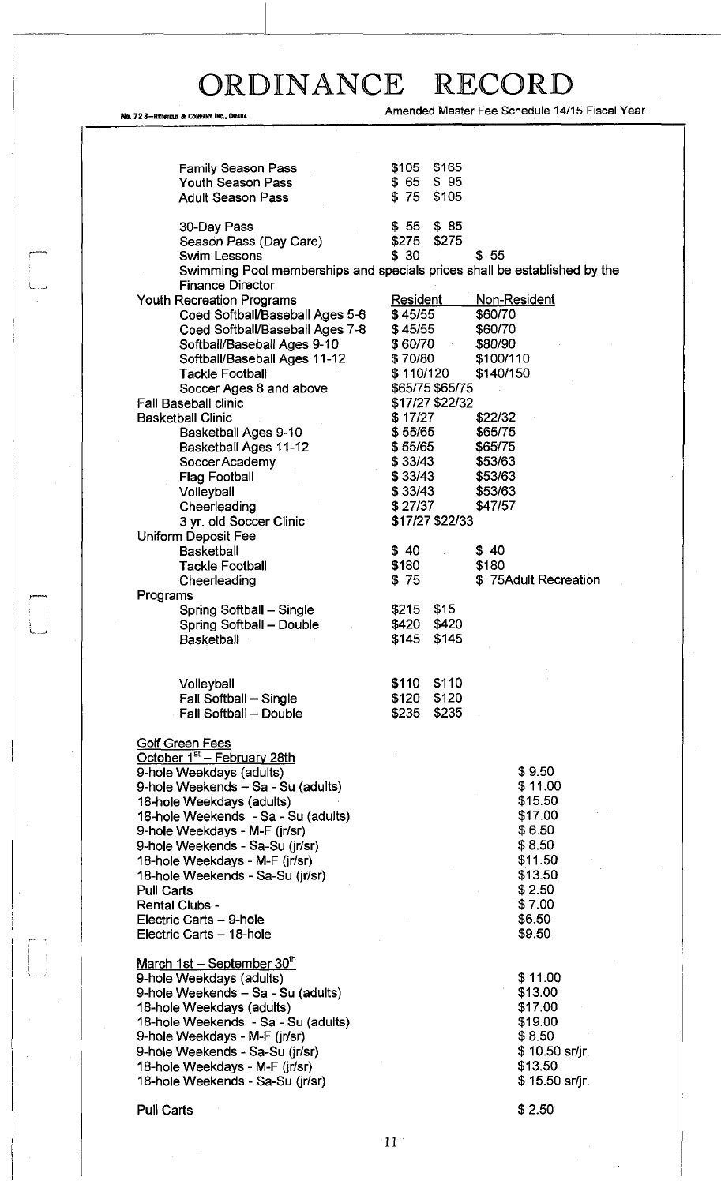, 72 8-REDFIEU) FT COMPANY INC.. OMAHA

 $\begin{bmatrix} 1 \\ 1 \\ 1 \end{bmatrix}$ 

Amended Master Fee Schedule 14/15 Fiscal Year

| <b>Family Season Pass</b>                                  | \$165<br>\$105                                                            |
|------------------------------------------------------------|---------------------------------------------------------------------------|
| <b>Youth Season Pass</b>                                   | $$65$ $$95$                                                               |
| <b>Adult Season Pass</b>                                   | $$75$ \$105                                                               |
|                                                            |                                                                           |
| 30-Day Pass                                                | $$55$ $$85$                                                               |
| Season Pass (Day Care)                                     | \$275<br>\$275                                                            |
| <b>Swim Lessons</b>                                        | \$30<br>\$55                                                              |
|                                                            | Swimming Pool memberships and specials prices shall be established by the |
| <b>Finance Director</b>                                    |                                                                           |
| <b>Youth Recreation Programs</b>                           | Resident<br>Non-Resident                                                  |
| Coed Softball/Baseball Ages 5-6                            | \$45/55<br>\$60/70                                                        |
| Coed Softball/Baseball Ages 7-8                            | \$45/55<br>\$60/70                                                        |
| Softball/Baseball Ages 9-10                                | \$60/70<br>\$80/90                                                        |
| Softball/Baseball Ages 11-12                               | \$100/110<br>\$70/80                                                      |
| <b>Tackle Football</b>                                     | \$140/150<br>\$110/120                                                    |
| Soccer Ages 8 and above                                    | \$65/75 \$65/75                                                           |
| <b>Fall Baseball clinic</b>                                | \$17/27 \$22/32                                                           |
| <b>Basketball Clinic</b>                                   | \$17/27<br>\$22/32                                                        |
| Basketball Ages 9-10                                       | \$65/75<br>\$55/65                                                        |
|                                                            | \$55/65<br>\$65/75                                                        |
| <b>Basketball Ages 11-12</b>                               |                                                                           |
| Soccer Academy                                             | \$33/43<br>\$53/63                                                        |
| <b>Flag Football</b>                                       | \$33/43<br>\$53/63                                                        |
| Volleyball                                                 | \$33/43<br>\$53/63                                                        |
| Cheerleading                                               | \$27/37<br>\$47/57                                                        |
| 3 yr. old Soccer Clinic                                    | \$17/27 \$22/33                                                           |
| Uniform Deposit Fee                                        |                                                                           |
| <b>Basketball</b>                                          | \$40<br>\$40                                                              |
| <b>Tackle Football</b>                                     | \$180<br>\$180                                                            |
| Cheerleading                                               | \$75Adult Recreation<br>\$75                                              |
| Programs                                                   |                                                                           |
| Spring Softball - Single                                   | \$215 \$15                                                                |
| Spring Softball - Double                                   | \$420 \$420                                                               |
| <b>Basketball</b>                                          | \$145<br>\$145                                                            |
|                                                            |                                                                           |
|                                                            |                                                                           |
| Volleyball                                                 | \$110<br>\$110                                                            |
| Fall Softball - Single                                     | \$120 \$120                                                               |
| Fall Softball - Double                                     | \$235<br>\$235                                                            |
|                                                            |                                                                           |
| Golf Green Fees<br>October 1 <sup>st</sup> - February 28th |                                                                           |
| 9-hole Weekdays (adults)                                   | \$9.50                                                                    |
|                                                            | \$11.00                                                                   |
| 9-hole Weekends - Sa - Su (adults)                         | \$15.50                                                                   |
| 18-hole Weekdays (adults)                                  |                                                                           |
| 18-hole Weekends - Sa - Su (adults)                        | \$17.00                                                                   |
| 9-hole Weekdays - M-F (jr/sr)                              | \$6.50                                                                    |
| 9-hole Weekends - Sa-Su (jr/sr)                            | \$8.50                                                                    |
| 18-hole Weekdays - M-F (jr/sr)                             | \$11.50                                                                   |
| 18-hole Weekends - Sa-Su (jr/sr)                           | \$13.50                                                                   |
| <b>Pull Carts</b>                                          | \$2.50                                                                    |
| <b>Rental Clubs -</b>                                      | \$7.00                                                                    |
| Electric Carts - 9-hole                                    | \$6.50                                                                    |
| Electric Carts - 18-hole                                   | \$9.50                                                                    |
|                                                            |                                                                           |
| March 1st - September 30th                                 |                                                                           |
| 9-hole Weekdays (adults)                                   | \$11.00                                                                   |
| 9-hole Weekends - Sa - Su (adults)                         | \$13.00                                                                   |
| 18-hole Weekdays (adults)                                  | \$17.00                                                                   |
| 18-hole Weekends - Sa - Su (adults)                        | \$19.00                                                                   |
|                                                            |                                                                           |
| 9-hole Weekdays - M-F (jr/sr)                              | \$8.50                                                                    |
| 9-hole Weekends - Sa-Su (jr/sr)                            | \$10.50 sr/jr.                                                            |
| 18-hole Weekdays - M-F (ir/sr)                             | \$13.50                                                                   |
| 18-hole Weekends - Sa-Su (jr/sr)                           | \$15.50 sr/jr.                                                            |
|                                                            |                                                                           |
| Pull Carts                                                 | \$2.50                                                                    |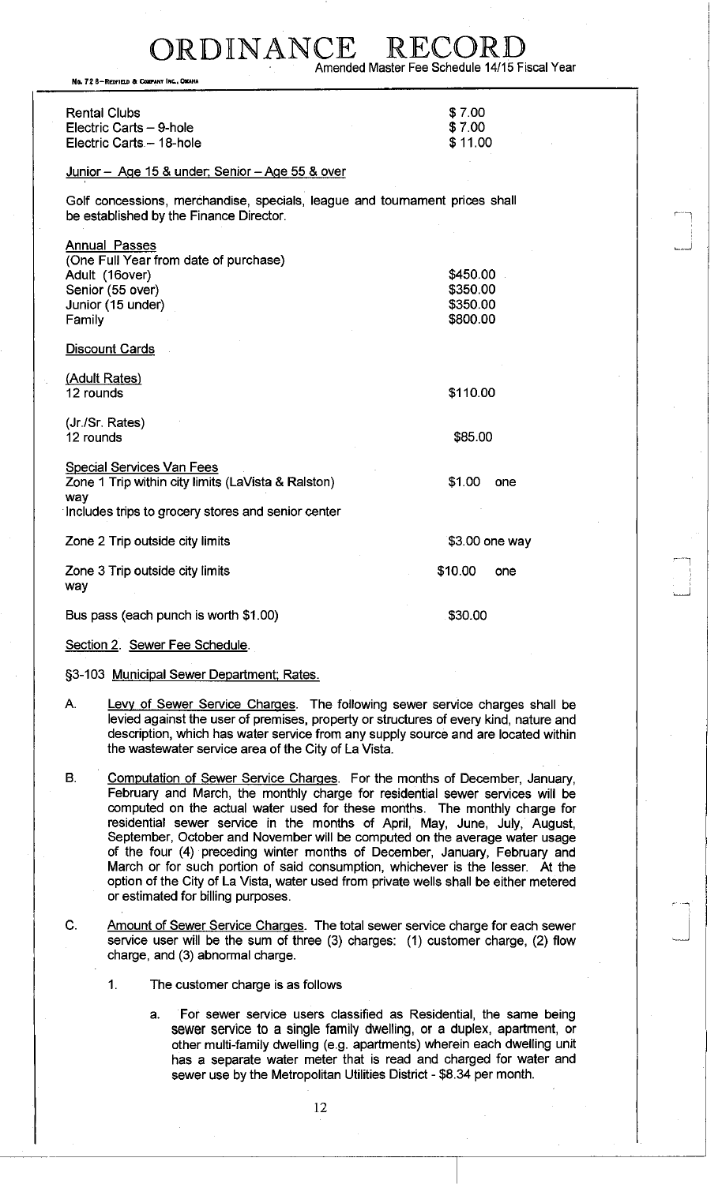No. 72 8-REDFIELD & COMPANY INC., OMAHA

| <b>Rental Clubs</b>      | \$7.00  |
|--------------------------|---------|
| Electric Carts - 9-hole  | \$7.00  |
| Electric Carts - 18-hole | \$11.00 |

### Junior - Age 15 & under; Senior - Age 55 & over

Golf concessions, merchandise, specials, league and tournament prices shall be established by the Finance Director.

| Annual Passes<br>(One Full Year from date of purchase)<br>Adult (16over)<br>Senior (55 over)<br>Junior (15 under)<br>Family<br>Discount Cards       | \$450.00<br>\$350.00<br>\$350.00<br>\$800.00 |
|-----------------------------------------------------------------------------------------------------------------------------------------------------|----------------------------------------------|
| (Adult Rates)<br>12 rounds                                                                                                                          | \$110.00                                     |
| (Jr./Sr. Rates)<br>12 rounds                                                                                                                        | \$85.00                                      |
| <b>Special Services Van Fees</b><br>Zone 1 Trip within city limits (LaVista & Ralston)<br>way<br>Includes trips to grocery stores and senior center | \$1.00<br>one                                |
| Zone 2 Trip outside city limits                                                                                                                     | \$3.00 one way                               |
| Zone 3 Trip outside city limits<br>way                                                                                                              | \$10.00<br>one                               |
| Bus pass (each punch is worth \$1.00)                                                                                                               | \$30.00                                      |

Section 2. Sewer Fee Schedule.

§3-103 Municipal Sewer Department; Rates.

- A. Levy of Sewer Service Charges. The following sewer service charges shall be levied against the user of premises, property or structures of every kind, nature and description, which has water service from any supply source and are located within the wastewater service area of the City of La Vista.
- B. Computation of Sewer Service Charges. For the months of December, January, February and March, the monthly charge for residential sewer services will be computed on the actual water used for these months. The monthly charge for residential sewer service in the months of April, May, June, July, August, September, October and November will be computed on the average water usage of the four (4) preceding winter months of December, January, February and March or for such portion of said consumption, whichever is the lesser. At the option of the City of La Vista, water used from private wells shall be either metered or estimated for billing purposes.
- C. Amount of Sewer Service Charges. The total sewer service charge for each sewer service user will be the sum of three (3) charges: (1) customer charge, (2) flow charge, and (3) abnormal charge.
	- 1. The customer charge is as follows
		- a. For sewer service users classified as Residential, the same being sewer service to a single family dwelling, or a duplex, apartment, or other multi-family dwelling (e.g. apartments) wherein each dwelling unit has a separate water meter that is read and charged for water and sewer use by the Metropolitan Utilities District - \$8.34 per month.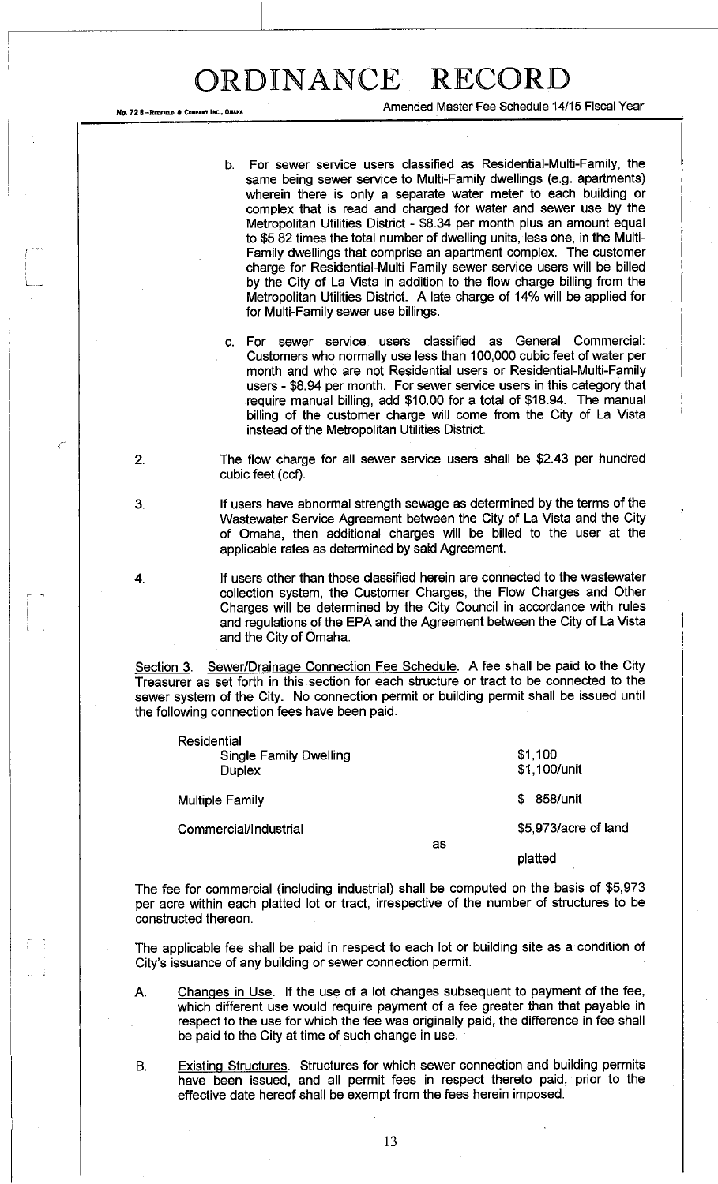No. 72 8-REDFIELD & COMPANY INC., OMARI

Residential

Amended Master Fee Schedule 14/15 Fiscal Year

b. For sewer service users classified as Residential-Multi-Family, the same being sewer service to Multi-Family dwellings (e.g. apartments) wherein there is only a separate water meter to each building or complex that is read and charged for water and sewer use by the Metropolitan Utilities District - \$8.34 per month plus an amount equal to \$5.82 times the total number of dwelling units, less one, in the Multi-Family dwellings that comprise an apartment complex. The customer charge for Residential-Multi Family sewer service users will be billed by the City of La Vista in addition to the flow charge billing from the Metropolitan Utilities District. A late charge of 14% will be applied for for Multi-Family sewer use billings.

c. For sewer service users classified as General Commercial: Customers who normally use less than 100,000 cubic feet of water per month and who are not Residential users or Residential-Multi-Family users - \$8.94 per month. For sewer service users in this category that require manual billing, add \$10.00 for a total of \$18.94. The manual billing of the customer charge will come from the City of La Vista instead of the Metropolitan Utilities District.

2. The flow charge for all sewer service users shall be \$2.43 per hundred cubic feet (ccf).

3. If users have abnormal strength sewage as determined by the terms of the Wastewater Service Agreement between the City of La Vista and the City of Omaha, then additional charges will be billed to the user at the applicable rates as determined by said Agreement.

4. If users other than those classified herein are connected to the wastewater collection system, the Customer Charges, the Flow Charges and Other Charges will be determined by the City Council in accordance with rules and regulations of the EPA and the Agreement between the City of La Vista and the City of Omaha.

Section 3. Sewer/Drainage Connection Fee Schedule. A fee shall be paid to the City Treasurer as set forth in this section for each structure or tract to be connected to the sewer system of the City. No connection permit or building permit shall be issued until the following connection fees have been paid.

| Residential<br><b>Single Family Dwelling</b><br><b>Duplex</b> |    | \$1,100<br>\$1,100/unit |
|---------------------------------------------------------------|----|-------------------------|
| <b>Multiple Family</b>                                        |    | 858/unit<br>S           |
| Commercial/Industrial                                         |    | \$5,973/acre of land    |
|                                                               | as | platted                 |

The fee for commercial (including industrial) shall be computed on the basis of \$5,973 per acre within each platted lot or tract, irrespective of the number of structures to be constructed thereon.

The applicable fee shall be paid in respect to each lot or building site as a condition of City's issuance of any building or sewer connection permit.

- A. Changes in Use. If the use of a lot changes subsequent to payment of the fee, which different use would require payment of a fee greater than that payable in respect to the use for which the fee was originally paid, the difference in fee shall be paid to the City at time of such change in use.
- B. Existing Structures. Structures for which sewer connection and building permits have been issued, and all permit fees in respect thereto paid, prior to the effective date hereof shall be exempt from the fees herein imposed.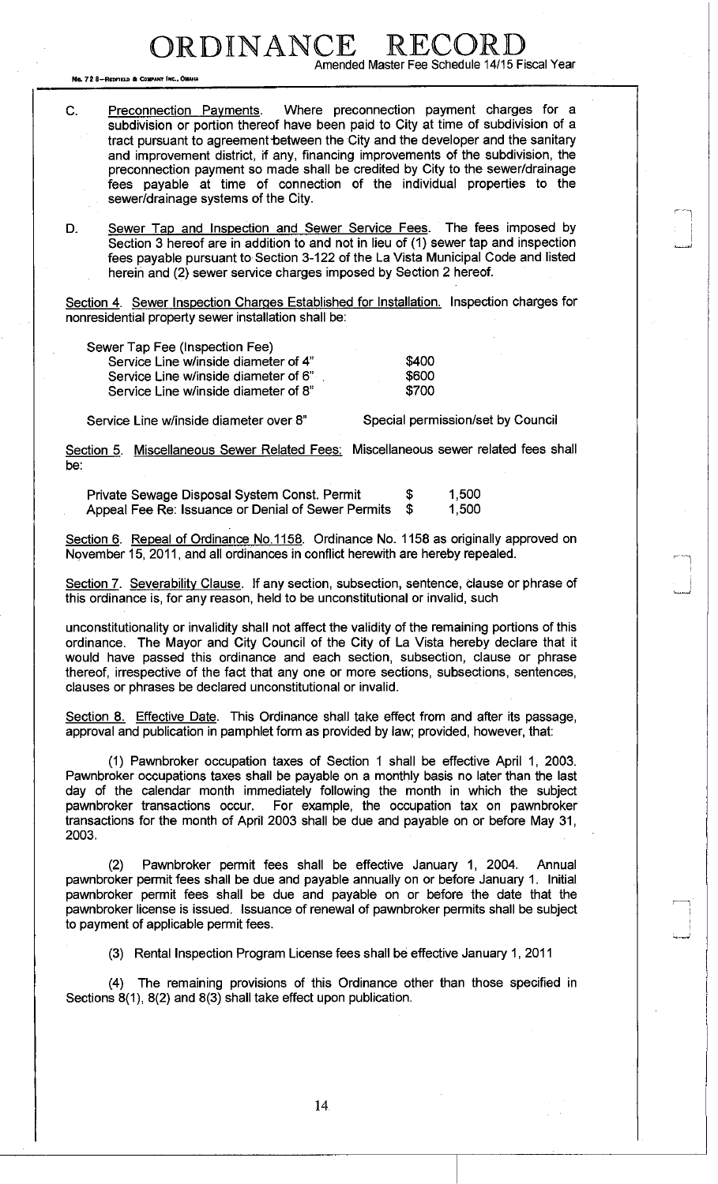DRDINANCE Amended Master Fee Schedule 14/15 Fiscal Year

No. 72 8-REDFIELD & COMPANY INC.

C. Preconnection Payments. Where preconnection payment charges for a subdivision or portion thereof have been paid to City at time of subdivision of a tract pursuant to agreement-between the City and the developer and the sanitary and improvement district, if any, financing improvements of the subdivision, the preconnection payment so made shall be credited by City to the sewer/drainage fees payable at time of connection of the individual properties to the sewer/drainage systems of the City.

D. Sewer Tap and Inspection and Sewer Service Fees. The fees imposed by Section 3 hereof are in addition to and not in lieu of (1) sewer tap and inspection fees payable pursuant to Section 3-122 of the La Vista Municipal Code and listed herein and (2) sewer service charges imposed by Section 2 hereof.

Section 4. Sewer Inspection Charges Established for Installation. Inspection charges for nonresidential property sewer installation shall be:

| Sewer Tap Fee (Inspection Fee)       |       |
|--------------------------------------|-------|
| Service Line w/inside diameter of 4" | \$400 |
| Service Line w/inside diameter of 6" | \$600 |
| Service Line w/inside diameter of 8" | \$700 |

Service Line w/inside diameter over 8" Special permission/set by Council

Section 5. Miscellaneous Sewer Related Fees: Miscellaneous sewer related fees shall be:

Private Sewage Disposal System Const. Permit  $$ 1,500$ Appeal Fee Re: Issuance or Denial of Sewer Permits  $\sin \theta = 1,500$ 

Section 6. Repeal of Ordinance No.1158. Ordinance No. 1158 as originally approved on November 15, 2011, and all ordinances in conflict herewith are hereby repealed.

Section 7. Severability Clause. If any section, subsection, sentence, clause or phrase of this ordinance is, for any reason, held to be unconstitutional or invalid, such

unconstitutionality or invalidity shall not affect the validity of the remaining portions of this ordinance. The Mayor and City Council of the City of La Vista hereby declare that it would have passed this ordinance and each section, subsection, clause or phrase thereof, irrespective of the fact that any one or more sections, subsections, sentences, clauses or phrases be declared unconstitutional or invalid.

Section 8. Effective Date. This Ordinance shall take effect from and after its passage, approval and publication in pamphlet form as provided by law; provided, however, that:

(1) Pawnbroker occupation taxes of Section 1 shall be effective April 1, 2003. Pawnbroker occupations taxes shall be payable on a monthly basis no later than the last day of the calendar month immediately following the month in which the subject pawnbroker transactions occur. For example, the occupation tax on pawnbroker transactions for the month of April 2003 shall be due and payable on or before May 31, 2003.

(2) Pawnbroker permit fees shall be effective January 1, 2004. Annual pawnbroker permit fees shall be due and payable annually on or before January 1. Initial pawnbroker permit fees shall be due and payable on or before the date that the pawnbroker license is issued. Issuance of renewal of pawnbroker permits shall be subject to payment of applicable permit fees.

(3) Rental Inspection Program License fees shall be effective January 1, 2011

(4) The remaining provisions of this Ordinance other than those specified in Sections 8(1), 8(2) and 8(3) shall take effect upon publication.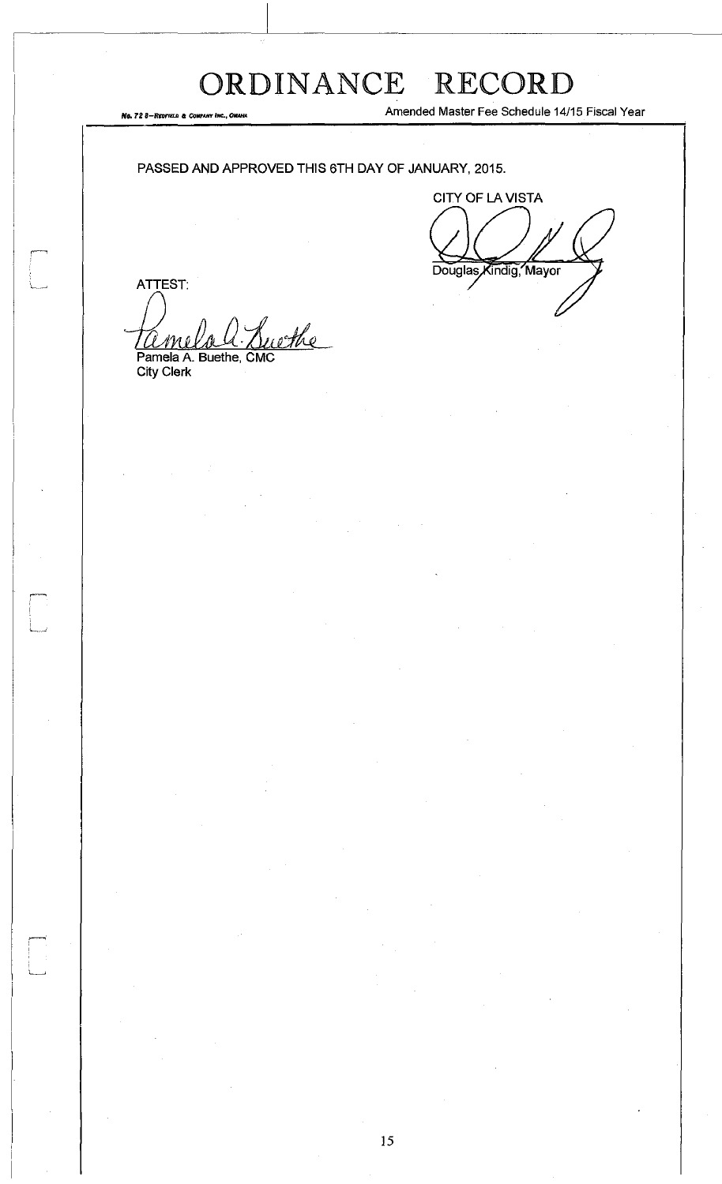*No. 72 8-Reofield & Co.* 

Amended Master Fee Schedule 14/15 Fiscal Year

PASSED AND APPROVED THIS 6TH DAY OF JANUARY, 2015.

CITY OF LA VISTA Douglas Kindig, Mayor

ATTEST: <u>ethe</u> *CLmlDAH* 

Pamela A. Buethe, CMC City Clerk